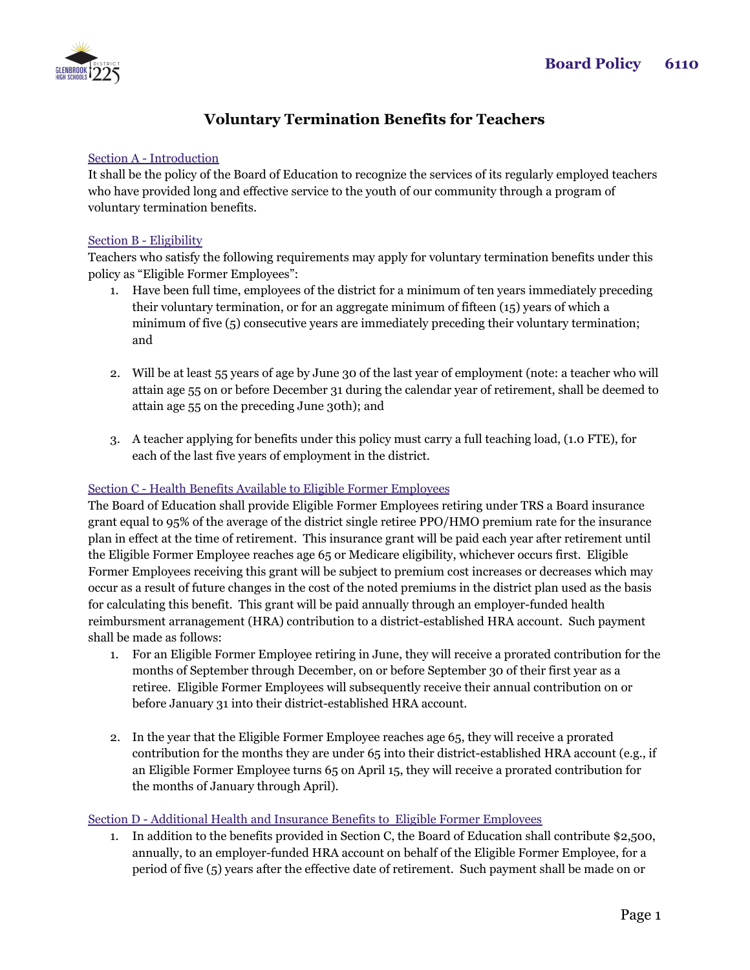

# **Voluntary Termination Benefits for Teachers**

### Section A - Introduction

It shall be the policy of the Board of Education to recognize the services of its regularly employed teachers who have provided long and effective service to the youth of our community through a program of voluntary termination benefits.

#### Section B - Eligibility

Teachers who satisfy the following requirements may apply for voluntary termination benefits under this policy as "Eligible Former Employees":

- 1. Have been full time, employees of the district for a minimum of ten years immediately preceding their voluntary termination, or for an aggregate minimum of fifteen (15) years of which a minimum of five (5) consecutive years are immediately preceding their voluntary termination; and
- 2. Will be at least 55 years of age by June 30 of the last year of employment (note: a teacher who will attain age 55 on or before December 31 during the calendar year of retirement, shall be deemed to attain age 55 on the preceding June 30th); and
- 3. A teacher applying for benefits under this policy must carry a full teaching load, (1.0 FTE), for each of the last five years of employment in the district.

### Section C - Health Benefits Available to Eligible Former Employees

The Board of Education shall provide Eligible Former Employees retiring under TRS a Board insurance grant equal to 95% of the average of the district single retiree PPO/HMO premium rate for the insurance plan in effect at the time of retirement. This insurance grant will be paid each year after retirement until the Eligible Former Employee reaches age 65 or Medicare eligibility, whichever occurs first. Eligible Former Employees receiving this grant will be subject to premium cost increases or decreases which may occur as a result of future changes in the cost of the noted premiums in the district plan used as the basis for calculating this benefit. This grant will be paid annually through an employer-funded health reimbursment arranagement (HRA) contribution to a district-established HRA account. Such payment shall be made as follows:

- 1. For an Eligible Former Employee retiring in June, they will receive a prorated contribution for the months of September through December, on or before September 30 of their first year as a retiree. Eligible Former Employees will subsequently receive their annual contribution on or before January 31 into their district-established HRA account.
- 2. In the year that the Eligible Former Employee reaches age 65, they will receive a prorated contribution for the months they are under 65 into their district-established HRA account (e.g., if an Eligible Former Employee turns 65 on April 15, they will receive a prorated contribution for the months of January through April).

### Section D - Additional Health and Insurance Benefits to Eligible Former Employees

1. In addition to the benefits provided in Section C, the Board of Education shall contribute \$2,500, annually, to an employer-funded HRA account on behalf of the Eligible Former Employee, for a period of five (5) years after the effective date of retirement. Such payment shall be made on or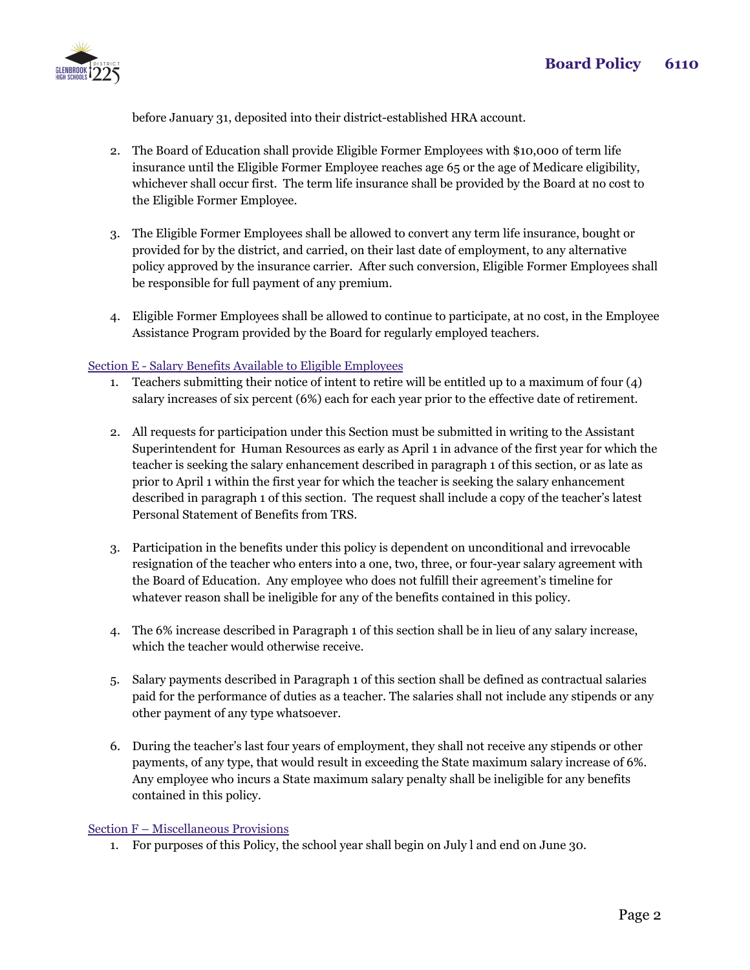

before January 31, deposited into their district-established HRA account.

- 2. The Board of Education shall provide Eligible Former Employees with \$10,000 of term life insurance until the Eligible Former Employee reaches age 65 or the age of Medicare eligibility, whichever shall occur first. The term life insurance shall be provided by the Board at no cost to the Eligible Former Employee.
- 3. The Eligible Former Employees shall be allowed to convert any term life insurance, bought or provided for by the district, and carried, on their last date of employment, to any alternative policy approved by the insurance carrier. After such conversion, Eligible Former Employees shall be responsible for full payment of any premium.
- 4. Eligible Former Employees shall be allowed to continue to participate, at no cost, in the Employee Assistance Program provided by the Board for regularly employed teachers.

## Section E - Salary Benefits Available to Eligible Employees

- 1. Teachers submitting their notice of intent to retire will be entitled up to a maximum of four (4) salary increases of six percent (6%) each for each year prior to the effective date of retirement.
- 2. All requests for participation under this Section must be submitted in writing to the Assistant Superintendent for Human Resources as early as April 1 in advance of the first year for which the teacher is seeking the salary enhancement described in paragraph 1 of this section, or as late as prior to April 1 within the first year for which the teacher is seeking the salary enhancement described in paragraph 1 of this section. The request shall include a copy of the teacher's latest Personal Statement of Benefits from TRS.
- 3. Participation in the benefits under this policy is dependent on unconditional and irrevocable resignation of the teacher who enters into a one, two, three, or four-year salary agreement with the Board of Education. Any employee who does not fulfill their agreement's timeline for whatever reason shall be ineligible for any of the benefits contained in this policy.
- 4. The 6% increase described in Paragraph 1 of this section shall be in lieu of any salary increase, which the teacher would otherwise receive.
- 5. Salary payments described in Paragraph 1 of this section shall be defined as contractual salaries paid for the performance of duties as a teacher. The salaries shall not include any stipends or any other payment of any type whatsoever.
- 6. During the teacher's last four years of employment, they shall not receive any stipends or other payments, of any type, that would result in exceeding the State maximum salary increase of 6%. Any employee who incurs a State maximum salary penalty shall be ineligible for any benefits contained in this policy.

### Section F – Miscellaneous Provisions

1. For purposes of this Policy, the school year shall begin on July l and end on June 30.